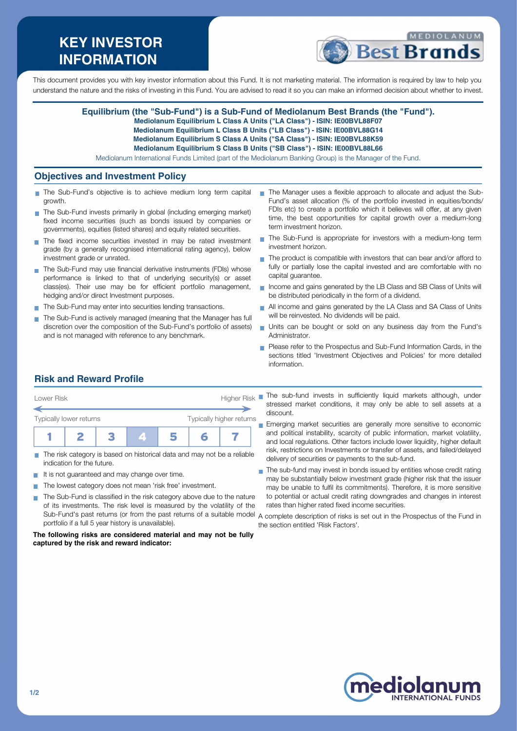# **KEY INVESTOR INFORMATION**



This document provides you with key investor information about this Fund. It is not marketing material. The information is required by law to help you understand the nature and the risks of investing in this Fund. You are advised to read it so you can make an informed decision about whether to invest.

#### **Equilibrium (the "Sub-Fund") is a Sub-Fund of Mediolanum Best Brands (the "Fund").**

**Mediolanum Equilibrium L Class A Units ("LA Class") - ISIN: IE00BVL88F07**

**Mediolanum Equilibrium L Class B Units ("LB Class") - ISIN: IE00BVL88G14**

**Mediolanum Equilibrium S Class A Units ("SA Class") - ISIN: IE00BVL88K59**

**Mediolanum Equilibrium S Class B Units ("SB Class") - ISIN: IE00BVL88L66**

Mediolanum International Funds Limited (part of the Mediolanum Banking Group) is the Manager of the Fund.

### **Objectives and Investment Policy**

- The Sub-Fund's objective is to achieve medium long term capital growth.
- The Sub-Fund invests primarily in global (including emerging market) fixed income securities (such as bonds issued by companies or governments), equities (listed shares) and equity related securities.
- The fixed income securities invested in may be rated investment grade (by a generally recognised international rating agency), below investment grade or unrated.
- The Sub-Fund may use financial derivative instruments (FDIs) whose performance is linked to that of underlying security(s) or asset class(es). Their use may be for efficient portfolio management, hedging and/or direct Investment purposes.
- The Sub-Fund may enter into securities lending transactions.
- The Sub-Fund is actively managed (meaning that the Manager has full discretion over the composition of the Sub-Fund's portfolio of assets) and is not managed with reference to any benchmark.
- The Manager uses a flexible approach to allocate and adjust the Sub-Fund's asset allocation (% of the portfolio invested in equities/bonds/ FDIs etc) to create a portfolio which it believes will offer, at any given time, the best opportunities for capital growth over a medium-long term investment horizon.
- The Sub-Fund is appropriate for investors with a medium-long term п investment horizon.
- The product is compatible with investors that can bear and/or afford to fully or partially lose the capital invested and are comfortable with no capital guarantee.
- Income and gains generated by the LB Class and SB Class of Units will be distributed periodically in the form of a dividend.
- All income and gains generated by the LA Class and SA Class of Units will be reinvested. No dividends will be paid.
- Units can be bought or sold on any business day from the Fund's m. **Administrator**
- Please refer to the Prospectus and Sub-Fund Information Cards, in the sections titled 'Investment Objectives and Policies' for more detailed information.

# **Risk and Reward Profile**

| Lower Risk              |  |  |                          | <b>Higher Risk</b> |  |  |  |
|-------------------------|--|--|--------------------------|--------------------|--|--|--|
| Typically lower returns |  |  | Typically higher returns |                    |  |  |  |
|                         |  |  |                          |                    |  |  |  |

- The risk category is based on historical data and may not be a reliable indication for the future.
- $\blacksquare$  It is not guaranteed and may change over time.
- The lowest category does not mean 'risk free' investment.  $\sim$
- The Sub-Fund is classified in the risk category above due to the nature × of its investments. The risk level is measured by the volatility of the Sub-Fund's past returns (or from the past returns of a suitable model A complete description of risks is set out in the Prospectus of the Fund in portfolio if a full 5 year history is unavailable).

#### **The following risks are considered material and may not be fully captured by the risk and reward indicator:**

- The sub-fund invests in sufficiently liquid markets although, under stressed market conditions, it may only be able to sell assets at a discount.
- **Emerging market securities are generally more sensitive to economic** and political instability, scarcity of public information, market volatility, and local regulations. Other factors include lower liquidity, higher default risk, restrictions on Investments or transfer of assets, and failed/delayed delivery of securities or payments to the sub-fund.
- The sub-fund may invest in bonds issued by entities whose credit rating may be substantially below investment grade (higher risk that the issuer may be unable to fulfil its commitments). Therefore, it is more sensitive to potential or actual credit rating downgrades and changes in interest rates than higher rated fixed income securities.

the section entitled 'Risk Factors'.